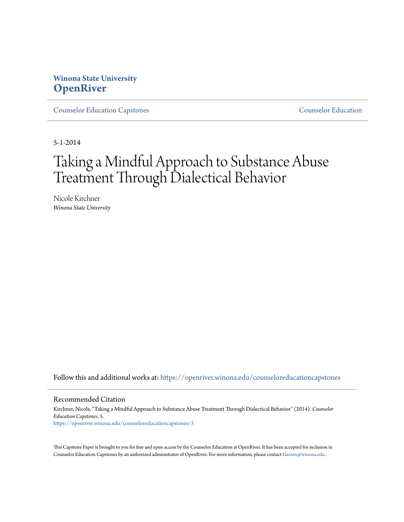# **Winona State University [OpenRiver](https://openriver.winona.edu?utm_source=openriver.winona.edu%2Fcounseloreducationcapstones%2F5&utm_medium=PDF&utm_campaign=PDFCoverPages)**

[Counselor Education Capstones](https://openriver.winona.edu/counseloreducationcapstones?utm_source=openriver.winona.edu%2Fcounseloreducationcapstones%2F5&utm_medium=PDF&utm_campaign=PDFCoverPages) [Counselor Education](https://openriver.winona.edu/counseloreducation?utm_source=openriver.winona.edu%2Fcounseloreducationcapstones%2F5&utm_medium=PDF&utm_campaign=PDFCoverPages)

5-1-2014

# Taking a Mindful Approach to Substance Abuse Treatment Through Dialectical Behavior

Nicole Kirchner *Winona State University*

Follow this and additional works at: [https://openriver.winona.edu/counseloreducationcapstones](https://openriver.winona.edu/counseloreducationcapstones?utm_source=openriver.winona.edu%2Fcounseloreducationcapstones%2F5&utm_medium=PDF&utm_campaign=PDFCoverPages)

#### Recommended Citation

Kirchner, Nicole, "Taking a Mindful Approach to Substance Abuse Treatment Through Dialectical Behavior" (2014). *Counselor Education Capstones*. 5. [https://openriver.winona.edu/counseloreducationcapstones/5](https://openriver.winona.edu/counseloreducationcapstones/5?utm_source=openriver.winona.edu%2Fcounseloreducationcapstones%2F5&utm_medium=PDF&utm_campaign=PDFCoverPages)

This Capstone Paper is brought to you for free and open access by the Counselor Education at OpenRiver. It has been accepted for inclusion in Counselor Education Capstones by an authorized administrator of OpenRiver. For more information, please contact [klarson@winona.edu](mailto:klarson@winona.edu).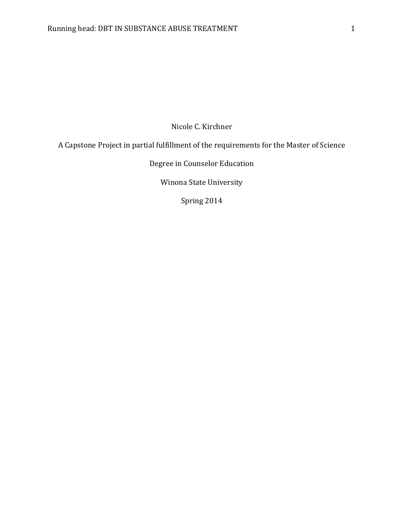Nicole C. Kirchner

A Capstone Project in partial fulfillment of the requirements for the Master of Science

Degree in Counselor Education

Winona State University

Spring 2014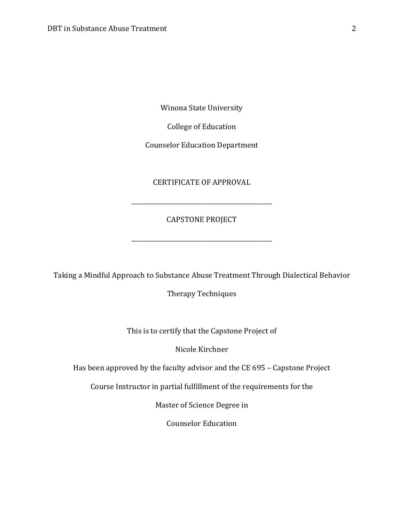Winona State University

College of Education

Counselor Education Department

## CERTIFICATE OF APPROVAL

\_\_\_\_\_\_\_\_\_\_\_\_\_\_\_\_\_\_\_\_\_\_\_\_\_\_\_\_\_\_\_\_\_\_\_\_\_\_\_\_\_\_\_\_\_\_\_\_

## CAPSTONE PROJECT

\_\_\_\_\_\_\_\_\_\_\_\_\_\_\_\_\_\_\_\_\_\_\_\_\_\_\_\_\_\_\_\_\_\_\_\_\_\_\_\_\_\_\_\_\_\_\_\_

Taking a Mindful Approach to Substance Abuse Treatment Through Dialectical Behavior

Therapy Techniques

This is to certify that the Capstone Project of

Nicole Kirchner

Has been approved by the faculty advisor and the CE 695 – Capstone Project

Course Instructor in partial fulfillment of the requirements for the

Master of Science Degree in

Counselor Education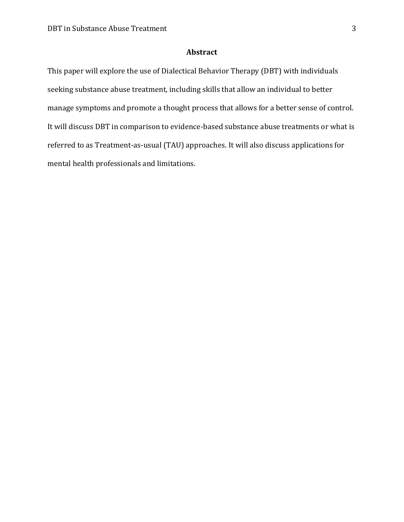## **Abstract**

This paper will explore the use of Dialectical Behavior Therapy (DBT) with individuals seeking substance abuse treatment, including skills that allow an individual to better manage symptoms and promote a thought process that allows for a better sense of control. It will discuss DBT in comparison to evidence-based substance abuse treatments or what is referred to as Treatment-as-usual (TAU) approaches. It will also discuss applications for mental health professionals and limitations.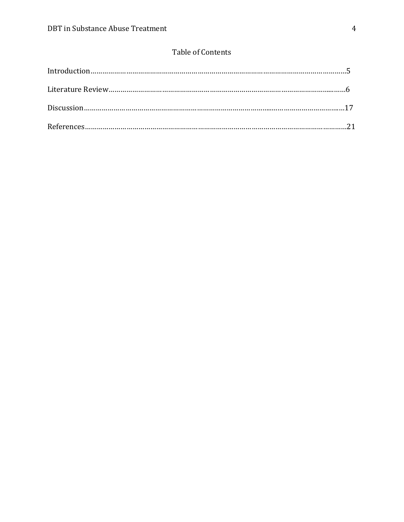## Table of Contents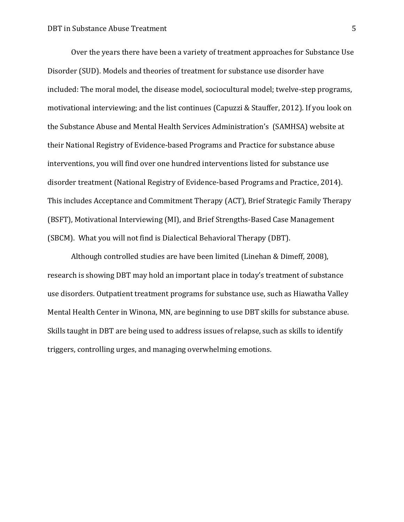Over the years there have been a variety of treatment approaches for Substance Use Disorder (SUD). Models and theories of treatment for substance use disorder have included: The moral model, the disease model, sociocultural model; twelve-step programs, motivational interviewing; and the list continues (Capuzzi & Stauffer, 2012). If you look on the Substance Abuse and Mental Health Services Administration's (SAMHSA) website at their National Registry of Evidence-based Programs and Practice for substance abuse interventions, you will find over one hundred interventions listed for substance use disorder treatment (National Registry of Evidence-based Programs and Practice, 2014). This includes Acceptance and Commitment Therapy (ACT), Brief Strategic Family Therapy (BSFT), Motivational Interviewing (MI), and Brief Strengths-Based Case Management (SBCM). What you will not find is Dialectical Behavioral Therapy (DBT).

Although controlled studies are have been limited (Linehan & Dimeff, 2008), research is showing DBT may hold an important place in today's treatment of substance use disorders. Outpatient treatment programs for substance use, such as Hiawatha Valley Mental Health Center in Winona, MN, are beginning to use DBT skills for substance abuse. Skills taught in DBT are being used to address issues of relapse, such as skills to identify triggers, controlling urges, and managing overwhelming emotions.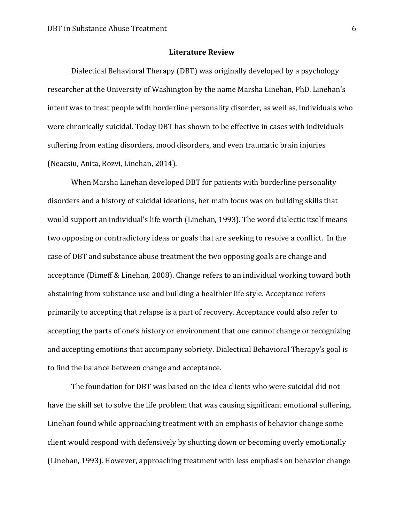#### **Literature Review**

Dialectical Behavioral Therapy (DBT) was originally developed by a psychology researcher at the University of Washington by the name Marsha Linehan, PhD. Linehan's intent was to treat people with [borderline personality disorder,](http://en.wikipedia.org/wiki/Borderline_personality_disorder) as well as, individuals who were chronically suicidal. Today DBT has shown to be effective in cases with individuals suffering from eating disorders, mood disorders, and even traumatic brain injuries (Neacsiu, Anita, Rozvi, Linehan, 2014).

When Marsha Linehan developed DBT for patients with borderline personality disorders and a history of suicidal ideations, her main focus was on building skills that would support an individual's life worth (Linehan, 1993). The word dialectic itself means two opposing or contradictory ideas or goals that are seeking to resolve a conflict. In the case of DBT and substance abuse treatment the two opposing goals are change and acceptance (Dimeff & Linehan, 2008). Change refers to an individual working toward both abstaining from substance use and building a healthier life style. Acceptance refers primarily to accepting that relapse is a part of recovery. Acceptance could also refer to accepting the parts of one's history or environment that one cannot change or recognizing and accepting emotions that accompany sobriety. Dialectical Behavioral Therapy's goal is to find the balance between change and acceptance.

The foundation for DBT was based on the idea clients who were suicidal did not have the skill set to solve the life problem that was causing significant emotional suffering. Linehan found while approaching treatment with an emphasis of behavior change some client would respond with defensively by shutting down or becoming overly emotionally (Linehan, 1993). However, approaching treatment with less emphasis on behavior change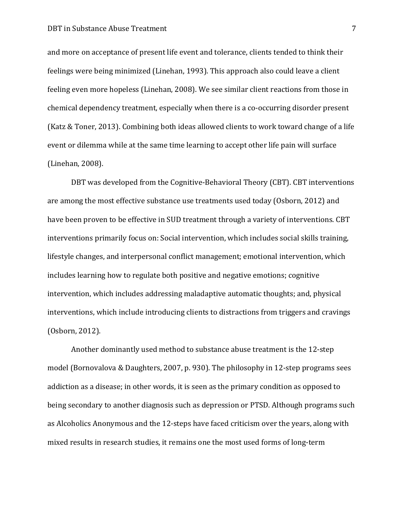#### **DBT** in Substance Abuse Treatment 7

and more on acceptance of present life event and tolerance, clients tended to think their feelings were being minimized (Linehan, 1993). This approach also could leave a client feeling even more hopeless (Linehan, 2008). We see similar client reactions from those in chemical dependency treatment, especially when there is a co-occurring disorder present (Katz & Toner, 2013). Combining both ideas allowed clients to work toward change of a life event or dilemma while at the same time learning to accept other life pain will surface (Linehan, 2008).

DBT was developed from the Cognitive-Behavioral Theory (CBT). CBT interventions are among the most effective substance use treatments used today (Osborn, 2012) and have been proven to be effective in SUD treatment through a variety of interventions. CBT interventions primarily focus on: Social intervention, which includes social skills training, lifestyle changes, and interpersonal conflict management; emotional intervention, which includes learning how to regulate both positive and negative emotions; cognitive intervention, which includes addressing maladaptive automatic thoughts; and, physical interventions, which include introducing clients to distractions from triggers and cravings (Osborn, 2012).

Another dominantly used method to substance abuse treatment is the 12-step model (Bornovalova & Daughters, 2007, p. 930). The philosophy in 12-step programs sees addiction as a disease; in other words, it is seen as the primary condition as opposed to being secondary to another diagnosis such as depression or PTSD. Although programs such as Alcoholics Anonymous and the 12-steps have faced criticism over the years, along with mixed results in research studies, it remains one the most used forms of long-term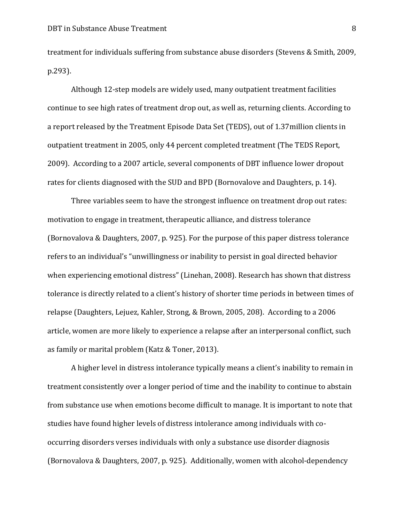treatment for individuals suffering from substance abuse disorders (Stevens & Smith, 2009, p.293).

Although 12-step models are widely used, many outpatient treatment facilities continue to see high rates of treatment drop out, as well as, returning clients. According to a report released by the Treatment Episode Data Set (TEDS), out of 1.37million clients in outpatient treatment in 2005, only 44 percent completed treatment (The TEDS Report, 2009). According to a 2007 article, several components of DBT influence lower dropout rates for clients diagnosed with the SUD and BPD (Bornovalove and Daughters, p. 14).

Three variables seem to have the strongest influence on treatment drop out rates: motivation to engage in treatment, therapeutic alliance, and distress tolerance (Bornovalova & Daughters, 2007, p. 925). For the purpose of this paper distress tolerance refers to an individual's "unwillingness or inability to persist in goal directed behavior when experiencing emotional distress" (Linehan, 2008). Research has shown that distress tolerance is directly related to a client's history of shorter time periods in between times of relapse (Daughters, Lejuez, Kahler, Strong, & Brown, 2005, 208). According to a 2006 article, women are more likely to experience a relapse after an interpersonal conflict, such as family or marital problem (Katz & Toner, 2013).

A higher level in distress intolerance typically means a client's inability to remain in treatment consistently over a longer period of time and the inability to continue to abstain from substance use when emotions become difficult to manage. It is important to note that studies have found higher levels of distress intolerance among individuals with cooccurring disorders verses individuals with only a substance use disorder diagnosis (Bornovalova & Daughters, 2007, p. 925). Additionally, women with alcohol-dependency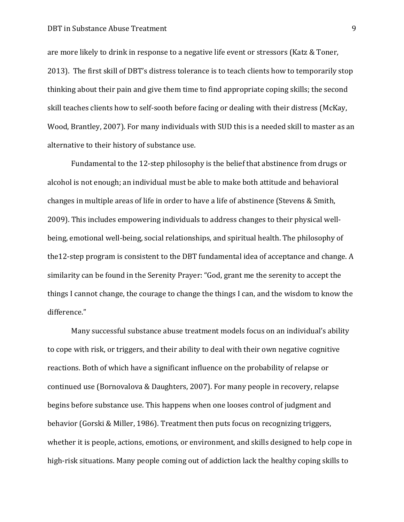#### DBT in Substance Abuse Treatment 9

are more likely to drink in response to a negative life event or stressors (Katz & Toner, 2013). The first skill of DBT's distress tolerance is to teach clients how to temporarily stop thinking about their pain and give them time to find appropriate coping skills; the second skill teaches clients how to self-sooth before facing or dealing with their distress (McKay, Wood, Brantley, 2007). For many individuals with SUD this is a needed skill to master as an alternative to their history of substance use.

Fundamental to the 12-step philosophy is the belief that abstinence from drugs or alcohol is not enough; an individual must be able to make both attitude and behavioral changes in multiple areas of life in order to have a life of abstinence (Stevens & Smith, 2009). This includes empowering individuals to address changes to their physical wellbeing, emotional well-being, social relationships, and spiritual health. The philosophy of the12-step program is consistent to the DBT fundamental idea of acceptance and change. A similarity can be found in the Serenity Prayer: "God, grant me the serenity to accept the things I cannot change, the courage to change the things I can, and the wisdom to know the difference."

Many successful substance abuse treatment models focus on an individual's ability to cope with risk, or triggers, and their ability to deal with their own negative cognitive reactions. Both of which have a significant influence on the probability of relapse or continued use (Bornovalova & Daughters, 2007). For many people in recovery, relapse begins before substance use. This happens when one looses control of judgment and behavior (Gorski & Miller, 1986). Treatment then puts focus on recognizing triggers, whether it is people, actions, emotions, or environment, and skills designed to help cope in high-risk situations. Many people coming out of addiction lack the healthy coping skills to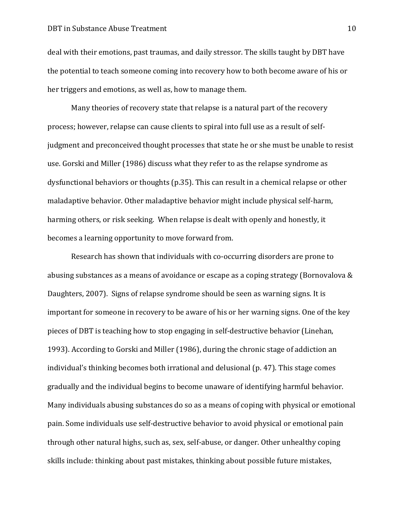#### **DBT** in Substance Abuse Treatment 10

deal with their emotions, past traumas, and daily stressor. The skills taught by DBT have the potential to teach someone coming into recovery how to both become aware of his or her triggers and emotions, as well as, how to manage them.

Many theories of recovery state that relapse is a natural part of the recovery process; however, relapse can cause clients to spiral into full use as a result of selfjudgment and preconceived thought processes that state he or she must be unable to resist use. Gorski and Miller (1986) discuss what they refer to as the relapse syndrome as dysfunctional behaviors or thoughts (p.35). This can result in a chemical relapse or other maladaptive behavior. Other maladaptive behavior might include physical self-harm, harming others, or risk seeking. When relapse is dealt with openly and honestly, it becomes a learning opportunity to move forward from.

Research has shown that individuals with co-occurring disorders are prone to abusing substances as a means of avoidance or escape as a coping strategy (Bornovalova & Daughters, 2007). Signs of relapse syndrome should be seen as warning signs. It is important for someone in recovery to be aware of his or her warning signs. One of the key pieces of DBT is teaching how to stop engaging in self-destructive behavior (Linehan, 1993). According to Gorski and Miller (1986), during the chronic stage of addiction an individual's thinking becomes both irrational and delusional (p. 47). This stage comes gradually and the individual begins to become unaware of identifying harmful behavior. Many individuals abusing substances do so as a means of coping with physical or emotional pain. Some individuals use self-destructive behavior to avoid physical or emotional pain through other natural highs, such as, sex, self-abuse, or danger. Other unhealthy coping skills include: thinking about past mistakes, thinking about possible future mistakes,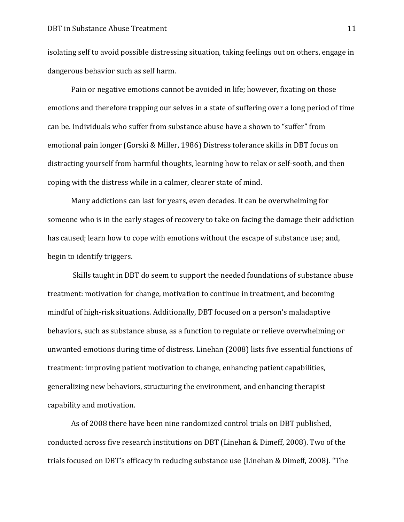isolating self to avoid possible distressing situation, taking feelings out on others, engage in dangerous behavior such as self harm.

Pain or negative emotions cannot be avoided in life; however, fixating on those emotions and therefore trapping our selves in a state of suffering over a long period of time can be. Individuals who suffer from substance abuse have a shown to "suffer" from emotional pain longer (Gorski & Miller, 1986) Distress tolerance skills in DBT focus on distracting yourself from harmful thoughts, learning how to relax or self-sooth, and then coping with the distress while in a calmer, clearer state of mind.

Many addictions can last for years, even decades. It can be overwhelming for someone who is in the early stages of recovery to take on facing the damage their addiction has caused; learn how to cope with emotions without the escape of substance use; and, begin to identify triggers.

Skills taught in DBT do seem to support the needed foundations of substance abuse treatment: motivation for change, motivation to continue in treatment, and becoming mindful of high-risk situations. Additionally, DBT focused on a person's maladaptive behaviors, such as substance abuse, as a function to regulate or relieve overwhelming or unwanted emotions during time of distress. Linehan (2008) lists five essential functions of treatment: improving patient motivation to change, enhancing patient capabilities, generalizing new behaviors, structuring the environment, and enhancing therapist capability and motivation.

As of 2008 there have been nine randomized control trials on DBT published, conducted across five research institutions on DBT (Linehan & Dimeff, 2008). Two of the trials focused on DBT's efficacy in reducing substance use (Linehan & Dimeff, 2008). "The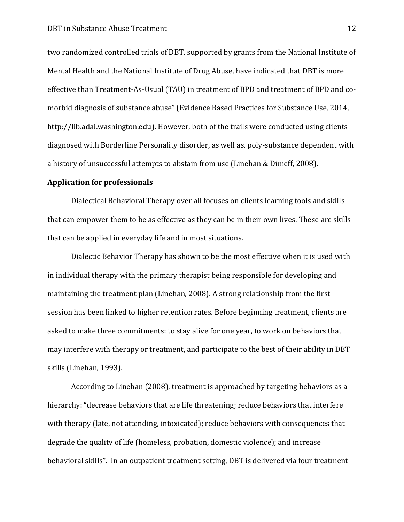two randomized controlled trials of DBT, supported by grants from the National Institute of Mental Health and the National Institute of Drug Abuse, have indicated that DBT is more effective than Treatment-As-Usual (TAU) in treatment of BPD and treatment of BPD and comorbid diagnosis of substance abuse" (Evidence Based Practices for Substance Use, 2014, http://lib.adai.washington.edu). However, both of the trails were conducted using clients diagnosed with Borderline Personality disorder, as well as, poly-substance dependent with a history of unsuccessful attempts to abstain from use (Linehan & Dimeff, 2008).

#### **Application for professionals**

Dialectical Behavioral Therapy over all focuses on clients learning tools and skills that can empower them to be as effective as they can be in their own lives. These are skills that can be applied in everyday life and in most situations.

Dialectic Behavior Therapy has shown to be the most effective when it is used with in individual therapy with the primary therapist being responsible for developing and maintaining the treatment plan (Linehan, 2008). A strong relationship from the first session has been linked to higher retention rates. Before beginning treatment, clients are asked to make three commitments: to stay alive for one year, to work on behaviors that may interfere with therapy or treatment, and participate to the best of their ability in DBT skills (Linehan, 1993).

According to Linehan (2008), treatment is approached by targeting behaviors as a hierarchy: "decrease behaviors that are life threatening; reduce behaviors that interfere with therapy (late, not attending, intoxicated); reduce behaviors with consequences that degrade the quality of life (homeless, probation, domestic violence); and increase behavioral skills". In an outpatient treatment setting, DBT is delivered via four treatment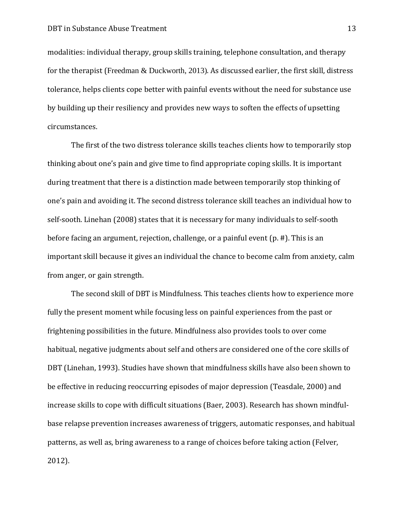modalities: individual therapy, group skills training, telephone consultation, and therapy for the therapist (Freedman & Duckworth, 2013). As discussed earlier, the first skill, distress tolerance, helps clients cope better with painful events without the need for substance use by building up their resiliency and provides new ways to soften the effects of upsetting circumstances.

The first of the two distress tolerance skills teaches clients how to temporarily stop thinking about one's pain and give time to find appropriate coping skills. It is important during treatment that there is a distinction made between temporarily stop thinking of one's pain and avoiding it. The second distress tolerance skill teaches an individual how to self-sooth. Linehan (2008) states that it is necessary for many individuals to self-sooth before facing an argument, rejection, challenge, or a painful event (p. #). This is an important skill because it gives an individual the chance to become calm from anxiety, calm from anger, or gain strength.

The second skill of DBT is Mindfulness. This teaches clients how to experience more fully the present moment while focusing less on painful experiences from the past or frightening possibilities in the future. Mindfulness also provides tools to over come habitual, negative judgments about self and others are considered one of the core skills of DBT (Linehan, 1993). Studies have shown that mindfulness skills have also been shown to be effective in reducing reoccurring episodes of major depression (Teasdale, 2000) and increase skills to cope with difficult situations (Baer, 2003). Research has shown mindfulbase relapse prevention increases awareness of triggers, automatic responses, and habitual patterns, as well as, bring awareness to a range of choices before taking action (Felver, 2012).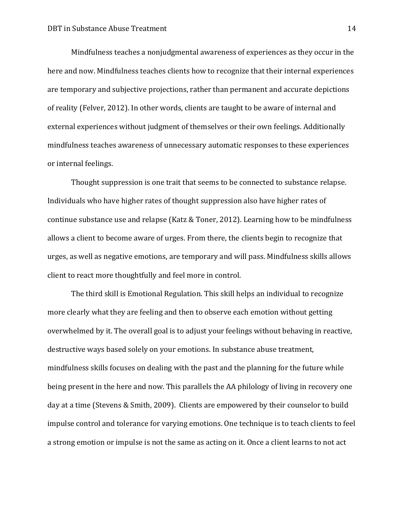Mindfulness teaches a nonjudgmental awareness of experiences as they occur in the here and now. Mindfulness teaches clients how to recognize that their internal experiences are temporary and subjective projections, rather than permanent and accurate depictions of reality (Felver, 2012). In other words, clients are taught to be aware of internal and external experiences without judgment of themselves or their own feelings. Additionally mindfulness teaches awareness of unnecessary automatic responses to these experiences or internal feelings.

Thought suppression is one trait that seems to be connected to substance relapse. Individuals who have higher rates of thought suppression also have higher rates of continue substance use and relapse (Katz & Toner, 2012). Learning how to be mindfulness allows a client to become aware of urges. From there, the clients begin to recognize that urges, as well as negative emotions, are temporary and will pass. Mindfulness skills allows client to react more thoughtfully and feel more in control.

The third skill is Emotional Regulation. This skill helps an individual to recognize more clearly what they are feeling and then to observe each emotion without getting overwhelmed by it. The overall goal is to adjust your feelings without behaving in reactive, destructive ways based solely on your emotions. In substance abuse treatment, mindfulness skills focuses on dealing with the past and the planning for the future while being present in the here and now. This parallels the AA philology of living in recovery one day at a time (Stevens & Smith, 2009). Clients are empowered by their counselor to build impulse control and tolerance for varying emotions. One technique is to teach clients to feel a strong emotion or impulse is not the same as acting on it. Once a client learns to not act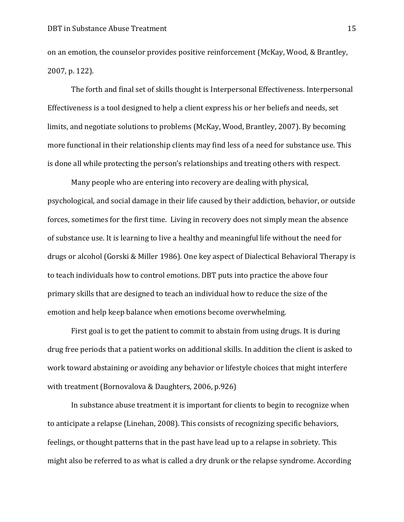on an emotion, the counselor provides positive reinforcement (McKay, Wood, & Brantley, 2007, p. 122).

The forth and final set of skills thought is Interpersonal Effectiveness. Interpersonal Effectiveness is a tool designed to help a client express his or her beliefs and needs, set limits, and negotiate solutions to problems (McKay, Wood, Brantley, 2007). By becoming more functional in their relationship clients may find less of a need for substance use. This is done all while protecting the person's relationships and treating others with respect.

Many people who are entering into recovery are dealing with physical, psychological, and social damage in their life caused by their addiction, behavior, or outside forces, sometimes for the first time. Living in recovery does not simply mean the absence of substance use. It is learning to live a healthy and meaningful life without the need for drugs or alcohol (Gorski & Miller 1986). One key aspect of Dialectical Behavioral Therapy is to teach individuals how to control emotions. DBT puts into practice the above four primary skills that are designed to teach an individual how to reduce the size of the emotion and help keep balance when emotions become overwhelming.

First goal is to get the patient to commit to abstain from using drugs. It is during drug free periods that a patient works on additional skills. In addition the client is asked to work toward abstaining or avoiding any behavior or lifestyle choices that might interfere with treatment (Bornovalova & Daughters, 2006, p.926)

In substance abuse treatment it is important for clients to begin to recognize when to anticipate a relapse (Linehan, 2008). This consists of recognizing specific behaviors, feelings, or thought patterns that in the past have lead up to a relapse in sobriety. This might also be referred to as what is called a dry drunk or the relapse syndrome. According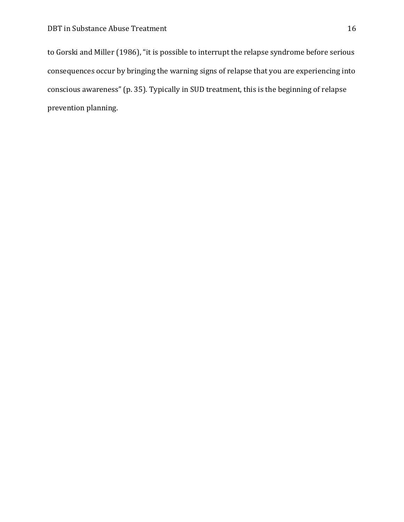to Gorski and Miller (1986), "it is possible to interrupt the relapse syndrome before serious consequences occur by bringing the warning signs of relapse that you are experiencing into conscious awareness" (p. 35). Typically in SUD treatment, this is the beginning of relapse prevention planning.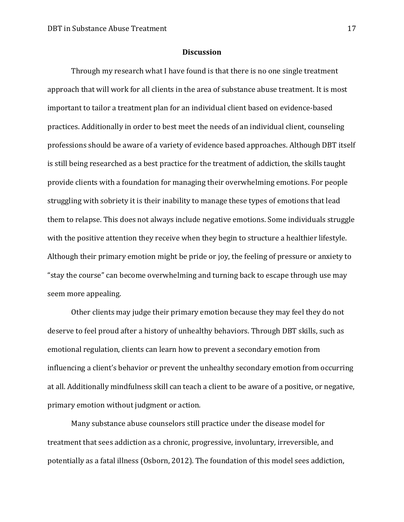#### **Discussion**

Through my research what I have found is that there is no one single treatment approach that will work for all clients in the area of substance abuse treatment. It is most important to tailor a treatment plan for an individual client based on evidence-based practices. Additionally in order to best meet the needs of an individual client, counseling professions should be aware of a variety of evidence based approaches. Although DBT itself is still being researched as a best practice for the treatment of addiction, the skills taught provide clients with a foundation for managing their overwhelming emotions. For people struggling with sobriety it is their inability to manage these types of emotions that lead them to relapse. This does not always include negative emotions. Some individuals struggle with the positive attention they receive when they begin to structure a healthier lifestyle. Although their primary emotion might be pride or joy, the feeling of pressure or anxiety to "stay the course" can become overwhelming and turning back to escape through use may seem more appealing.

Other clients may judge their primary emotion because they may feel they do not deserve to feel proud after a history of unhealthy behaviors. Through DBT skills, such as emotional regulation, clients can learn how to prevent a secondary emotion from influencing a client's behavior or prevent the unhealthy secondary emotion from occurring at all. Additionally mindfulness skill can teach a client to be aware of a positive, or negative, primary emotion without judgment or action.

Many substance abuse counselors still practice under the disease model for treatment that sees addiction as a chronic, progressive, involuntary, irreversible, and potentially as a fatal illness (Osborn, 2012). The foundation of this model sees addiction,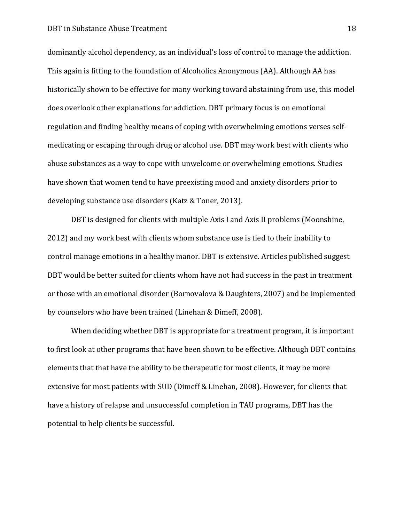#### **DBT** in Substance Abuse Treatment 18

dominantly alcohol dependency, as an individual's loss of control to manage the addiction. This again is fitting to the foundation of Alcoholics Anonymous (AA). Although AA has historically shown to be effective for many working toward abstaining from use, this model does overlook other explanations for addiction. DBT primary focus is on emotional regulation and finding healthy means of coping with overwhelming emotions verses selfmedicating or escaping through drug or alcohol use. DBT may work best with clients who abuse substances as a way to cope with unwelcome or overwhelming emotions. Studies have shown that women tend to have preexisting mood and anxiety disorders prior to developing substance use disorders (Katz & Toner, 2013).

DBT is designed for clients with multiple Axis I and Axis II problems (Moonshine, 2012) and my work best with clients whom substance use is tied to their inability to control manage emotions in a healthy manor. DBT is extensive. Articles published suggest DBT would be better suited for clients whom have not had success in the past in treatment or those with an emotional disorder (Bornovalova & Daughters, 2007) and be implemented by counselors who have been trained (Linehan & Dimeff, 2008).

When deciding whether DBT is appropriate for a treatment program, it is important to first look at other programs that have been shown to be effective. Although DBT contains elements that that have the ability to be therapeutic for most clients, it may be more extensive for most patients with SUD (Dimeff & Linehan, 2008). However, for clients that have a history of relapse and unsuccessful completion in TAU programs, DBT has the potential to help clients be successful.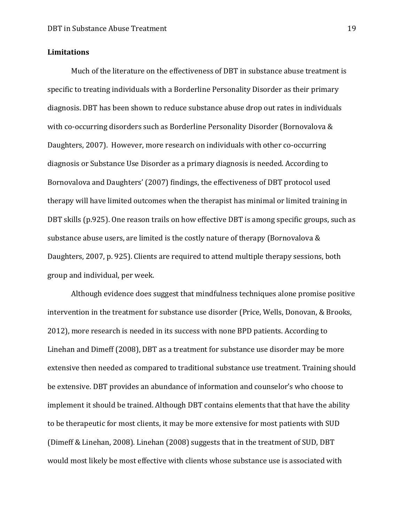### **Limitations**

Much of the literature on the effectiveness of DBT in substance abuse treatment is specific to treating individuals with a Borderline Personality Disorder as their primary diagnosis. DBT has been shown to reduce substance abuse drop out rates in individuals with co-occurring disorders such as Borderline Personality Disorder (Bornovalova & Daughters, 2007). However, more research on individuals with other co-occurring diagnosis or Substance Use Disorder as a primary diagnosis is needed. According to Bornovalova and Daughters' (2007) findings, the effectiveness of DBT protocol used therapy will have limited outcomes when the therapist has minimal or limited training in DBT skills (p.925). One reason trails on how effective DBT is among specific groups, such as substance abuse users, are limited is the costly nature of therapy (Bornovalova & Daughters, 2007, p. 925). Clients are required to attend multiple therapy sessions, both group and individual, per week.

Although evidence does suggest that mindfulness techniques alone promise positive intervention in the treatment for substance use disorder (Price, Wells, Donovan, & Brooks, 2012), more research is needed in its success with none BPD patients. According to Linehan and Dimeff (2008), DBT as a treatment for substance use disorder may be more extensive then needed as compared to traditional substance use treatment. Training should be extensive. DBT provides an abundance of information and counselor's who choose to implement it should be trained. Although DBT contains elements that that have the ability to be therapeutic for most clients, it may be more extensive for most patients with SUD (Dimeff & Linehan, 2008). Linehan (2008) suggests that in the treatment of SUD, DBT would most likely be most effective with clients whose substance use is associated with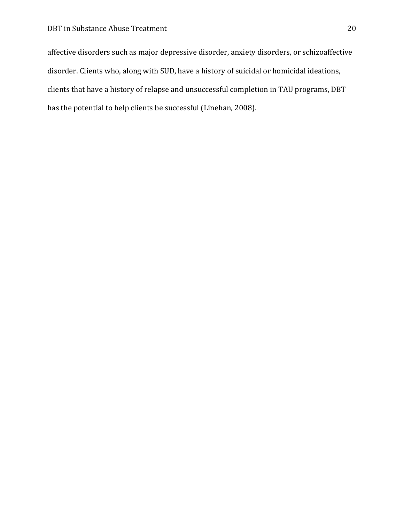affective disorders such as major depressive disorder, anxiety disorders, or schizoaffective disorder. Clients who, along with SUD, have a history of suicidal or homicidal ideations, clients that have a history of relapse and unsuccessful completion in TAU programs, DBT has the potential to help clients be successful (Linehan, 2008).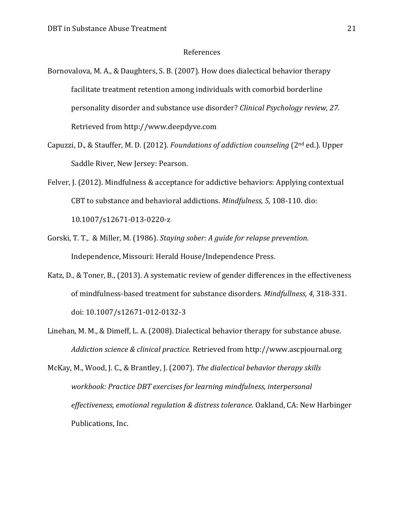#### References

- Bornovalova, M. A., & Daughters, S. B. (2007). How does dialectical behavior therapy facilitate treatment retention among individuals with comorbid borderline personality disorder and substance use disorder? *Clinical Psychology review, 27.*  Retrieved from http://www.deepdyve.com
- Capuzzi, D., & Stauffer, M. D. (2012). *Foundations of addiction counseling* (2nd ed.). Upper Saddle River, New Jersey: Pearson.
- Felver, J. (2012). Mindfulness & acceptance for addictive behaviors: Applying contextual CBT to substance and behavioral addictions. *Mindfulness, 5,* 108-110. dio: 10.1007/s12671-013-0220-z
- Gorski, T. T., & Miller, M. (1986). *Staying sober: A guide for relapse prevention.*  Independence, Missouri: Herald House/Independence Press.
- Katz, D., & Toner, B., (2013). A systematic review of gender differences in the effectiveness of mindfulness-based treatment for substance disorders. *Mindfullness, 4,* 318-331. doi: 10.1007/s12671-012-0132-3
- Linehan, M. M., & Dimeff, L. A. (2008). Dialectical behavior therapy for substance abuse. *Addiction science & clinical practice.* Retrieved from http://www.ascpjournal.org
- McKay, M., Wood, J. C., & Brantley, J. (2007). *The dialectical behavior therapy skills workbook: Practice DBT exercises for learning mindfulness, interpersonal effectiveness, emotional regulation & distress tolerance.* Oakland, CA: New Harbinger Publications, Inc.